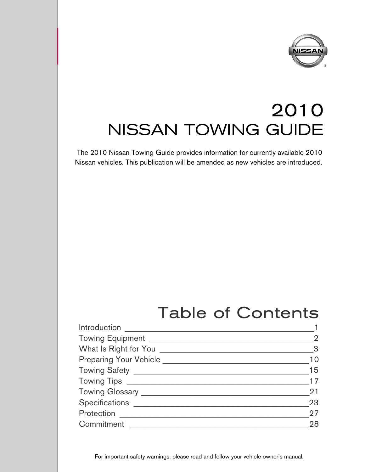

# 2010 NISSAN TOWING GUIDE

The 2010 Nissan Towing Guide provides information for currently available 2010 Nissan vehicles. This publication will be amended as new vehicles are introduced.

9

## Table of Contents

| Introduction                         |                |
|--------------------------------------|----------------|
| <b>Towing Equipment</b>              |                |
| What Is Right for You                | 3 <sup>5</sup> |
| Preparing Your Vehicle               | 10             |
| Towing Safety ______________________ | 15             |
|                                      | 17             |
|                                      | 21             |
| Specifications ____________          | 23             |
| Protection                           | 27             |
| Commitment                           | 28             |

For important safety warnings, please read and follow your vehicle owner's manual.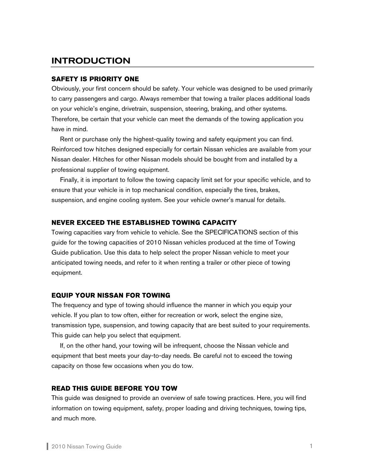## INTRODUCTION

### **SAFETY IS PRIORITY ONE**

Obviously, your first concern should be safety. Your vehicle was designed to be used primarily to carry passengers and cargo. Always remember that towing a trailer places additional loads on your vehicle's engine, drivetrain, suspension, steering, braking, and other systems. Therefore, be certain that your vehicle can meet the demands of the towing application you have in mind.

 Rent or purchase only the highest-quality towing and safety equipment you can find. Reinforced tow hitches designed especially for certain Nissan vehicles are available from your Nissan dealer. Hitches for other Nissan models should be bought from and installed by a professional supplier of towing equipment.

Finally, it is important to follow the towing capacity limit set for your specific vehicle, and to ensure that your vehicle is in top mechanical condition, especially the tires, brakes, suspension, and engine cooling system. See your vehicle owner's manual for details.

#### **NEVER EXCEED THE ESTABLISHED TOWING CAPACITY**

Towing capacities vary from vehicle to vehicle. See the SPECIFICATIONS section of this guide for the towing capacities of 2010 Nissan vehicles produced at the time of Towing Guide publication. Use this data to help select the proper Nissan vehicle to meet your anticipated towing needs, and refer to it when renting a trailer or other piece of towing equipment.

### **EQUIP YOUR NISSAN FOR TOWING**

The frequency and type of towing should influence the manner in which you equip your vehicle. If you plan to tow often, either for recreation or work, select the engine size, transmission type, suspension, and towing capacity that are best suited to your requirements. This guide can help you select that equipment.

 If, on the other hand, your towing will be infrequent, choose the Nissan vehicle and equipment that best meets your day-to-day needs. Be careful not to exceed the towing capacity on those few occasions when you do tow.

#### **READ THIS GUIDE BEFORE YOU TOW**

This guide was designed to provide an overview of safe towing practices. Here, you will find information on towing equipment, safety, proper loading and driving techniques, towing tips, and much more.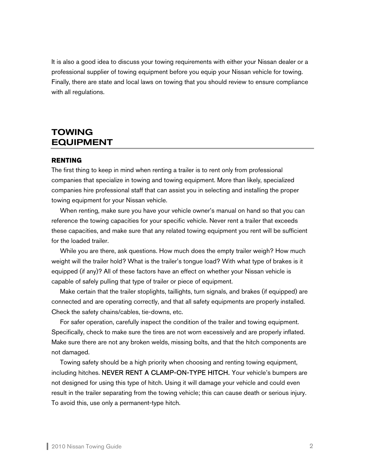It is also a good idea to discuss your towing requirements with either your Nissan dealer or a professional supplier of towing equipment before you equip your Nissan vehicle for towing. Finally, there are state and local laws on towing that you should review to ensure compliance with all regulations.

## TOWING EQUIPMENT

#### **RENTING**

The first thing to keep in mind when renting a trailer is to rent only from professional companies that specialize in towing and towing equipment. More than likely, specialized companies hire professional staff that can assist you in selecting and installing the proper towing equipment for your Nissan vehicle.

When renting, make sure you have your vehicle owner's manual on hand so that you can reference the towing capacities for your specific vehicle. Never rent a trailer that exceeds these capacities, and make sure that any related towing equipment you rent will be sufficient for the loaded trailer.

 While you are there, ask questions. How much does the empty trailer weigh? How much weight will the trailer hold? What is the trailer's tongue load? With what type of brakes is it equipped (if any)? All of these factors have an effect on whether your Nissan vehicle is capable of safely pulling that type of trailer or piece of equipment.

 Make certain that the trailer stoplights, taillights, turn signals, and brakes (if equipped) are connected and are operating correctly, and that all safety equipments are properly installed. Check the safety chains/cables, tie-downs, etc.

 For safer operation, carefully inspect the condition of the trailer and towing equipment. Specifically, check to make sure the tires are not worn excessively and are properly inflated. Make sure there are not any broken welds, missing bolts, and that the hitch components are not damaged.

 Towing safety should be a high priority when choosing and renting towing equipment, including hitches. NEVER RENT A CLAMP-ON-TYPE HITCH. Your vehicle's bumpers are not designed for using this type of hitch. Using it will damage your vehicle and could even result in the trailer separating from the towing vehicle; this can cause death or serious injury. To avoid this, use only a permanent-type hitch.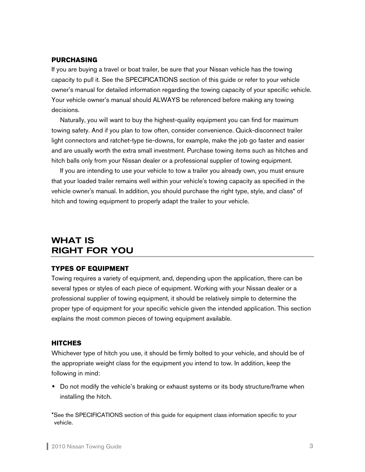#### **PURCHASING**

If you are buying a travel or boat trailer, be sure that your Nissan vehicle has the towing capacity to pull it. See the SPECIFICATIONS section of this guide or refer to your vehicle owner's manual for detailed information regarding the towing capacity of your specific vehicle. Your vehicle owner's manual should ALWAYS be referenced before making any towing decisions.

 Naturally, you will want to buy the highest-quality equipment you can find for maximum towing safety. And if you plan to tow often, consider convenience. Quick-disconnect trailer light connectors and ratchet-type tie-downs, for example, make the job go faster and easier and are usually worth the extra small investment. Purchase towing items such as hitches and hitch balls only from your Nissan dealer or a professional supplier of towing equipment.

If you are intending to use your vehicle to tow a trailer you already own, you must ensure that your loaded trailer remains well within your vehicle's towing capacity as specified in the vehicle owner's manual. In addition, you should purchase the right type, style, and class\* of hitch and towing equipment to properly adapt the trailer to your vehicle.

## WHAT IS RIGHT FOR YOU

#### **TYPES OF EQUIPMENT**

Towing requires a variety of equipment, and, depending upon the application, there can be several types or styles of each piece of equipment. Working with your Nissan dealer or a professional supplier of towing equipment, it should be relatively simple to determine the proper type of equipment for your specific vehicle given the intended application. This section explains the most common pieces of towing equipment available.

#### **HITCHES**

Whichever type of hitch you use, it should be firmly bolted to your vehicle, and should be of the appropriate weight class for the equipment you intend to tow. In addition, keep the following in mind:

• Do not modify the vehicle's braking or exhaust systems or its body structure/frame when installing the hitch.

\*See the SPECIFICATIONS section of this guide for equipment class information specific to your vehicle.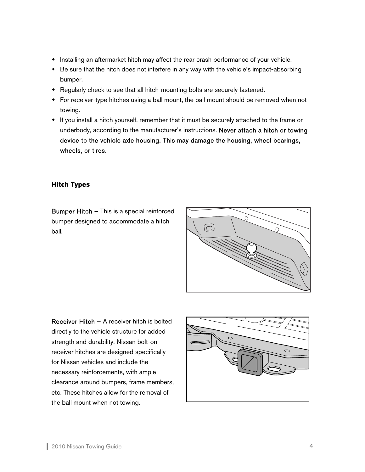- Installing an aftermarket hitch may affect the rear crash performance of your vehicle.
- Be sure that the hitch does not interfere in any way with the vehicle's impact-absorbing bumper.
- Regularly check to see that all hitch-mounting bolts are securely fastened.
- For receiver-type hitches using a ball mount, the ball mount should be removed when not towing.
- If you install a hitch yourself, remember that it must be securely attached to the frame or underbody, according to the manufacturer's instructions. Never attach a hitch or towing device to the vehicle axle housing. This may damage the housing, wheel bearings, wheels, or tires.

### **Hitch Types**

Bumper Hitch – This is a special reinforced bumper designed to accommodate a hitch ball.



Receiver Hitch – A receiver hitch is bolted directly to the vehicle structure for added strength and durability. Nissan bolt-on receiver hitches are designed specifically for Nissan vehicles and include the necessary reinforcements, with ample clearance around bumpers, frame members, etc. These hitches allow for the removal of the ball mount when not towing.

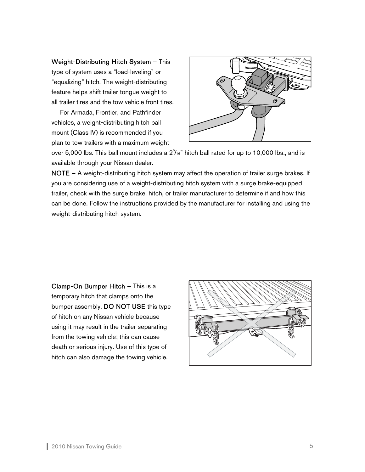Weight-Distributing Hitch System – This type of system uses a "load-leveling" or "equalizing" hitch. The weight-distributing feature helps shift trailer tongue weight to all trailer tires and the tow vehicle front tires.

For Armada, Frontier, and Pathfinder vehicles, a weight-distributing hitch ball mount (Class IV) is recommended if you plan to tow trailers with a maximum weight



over 5,000 lbs. This ball mount includes a  $2^{\frac{5}{16}}$  hitch ball rated for up to 10,000 lbs., and is available through your Nissan dealer.

NOTE – A weight-distributing hitch system may affect the operation of trailer surge brakes. If you are considering use of a weight-distributing hitch system with a surge brake-equipped trailer, check with the surge brake, hitch, or trailer manufacturer to determine if and how this can be done. Follow the instructions provided by the manufacturer for installing and using the weight-distributing hitch system.

Clamp-On Bumper Hitch – This is a temporary hitch that clamps onto the bumper assembly. DO NOT USE this type of hitch on any Nissan vehicle because using it may result in the trailer separating from the towing vehicle; this can cause death or serious injury. Use of this type of hitch can also damage the towing vehicle.

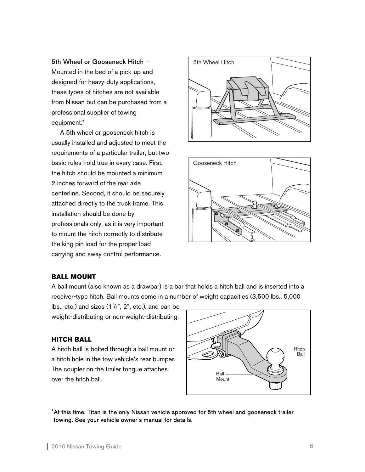#### 5th Wheel or Gooseneck Hitch –

Mounted in the bed of a pick-up and designed for heavy-duty applications, these types of hitches are not available from Nissan but can be purchased from a professional supplier of towing equipment.\*

A 5th wheel or gooseneck hitch is usually installed and adjusted to meet the requirements of a particular trailer, but two basic rules hold true in every case. First, the hitch should be mounted a minimum 2 inches forward of the rear axle centerline. Second, it should be securely attached directly to the truck frame. This installation should be done by professionals only, as it is very important to mount the hitch correctly to distribute the king pin load for the proper load carrying and sway control performance.





#### **BALL MOUNT**

A ball mount (also known as a drawbar) is a bar that holds a hitch ball and is inserted into a receiver-type hitch. Ball mounts come in a number of weight capacities (3,500 lbs., 5,000

lbs., etc.) and sizes  $(1^{\frac{1}{4}}, 2^{\degree}, \text{etc.})$ , and can be weight-distributing or non-weight-distributing.

#### **HITCH BALL**

A hitch ball is bolted through a ball mount or a hitch hole in the tow vehicle's rear bumper. The coupler on the trailer tongue attaches over the hitch ball.



\*At this time, Titan is the only Nissan vehicle approved for 5th wheel and gooseneck trailer towing. See your vehicle owner's manual for details.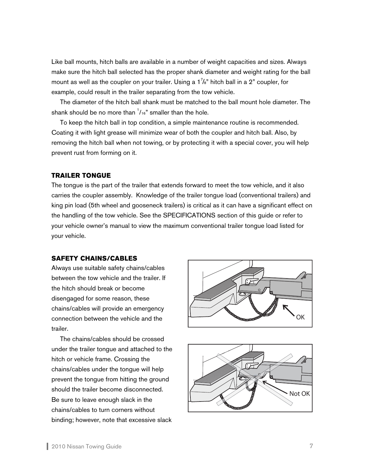Like ball mounts, hitch balls are available in a number of weight capacities and sizes. Always make sure the hitch ball selected has the proper shank diameter and weight rating for the ball mount as well as the coupler on your trailer. Using a 1 $^7\!/$ s" hitch ball in a 2" coupler, for example, could result in the trailer separating from the tow vehicle.

 The diameter of the hitch ball shank must be matched to the ball mount hole diameter. The shank should be no more than  $1/16$ " smaller than the hole.

 To keep the hitch ball in top condition, a simple maintenance routine is recommended. Coating it with light grease will minimize wear of both the coupler and hitch ball. Also, by removing the hitch ball when not towing, or by protecting it with a special cover, you will help prevent rust from forming on it.

#### **TRAILER TONGUE**

The tongue is the part of the trailer that extends forward to meet the tow vehicle, and it also carries the coupler assembly. Knowledge of the trailer tongue load (conventional trailers) and king pin load (5th wheel and gooseneck trailers) is critical as it can have a significant effect on the handling of the tow vehicle. See the SPECIFICATIONS section of this guide or refer to your vehicle owner's manual to view the maximum conventional trailer tongue load listed for your vehicle.

#### **SAFETY CHAINS/CABLES**

Always use suitable safety chains/cables between the tow vehicle and the trailer. If the hitch should break or become disengaged for some reason, these chains/cables will provide an emergency connection between the vehicle and the trailer.

 The chains/cables should be crossed under the trailer tongue and attached to the hitch or vehicle frame. Crossing the chains/cables under the tongue will help prevent the tongue from hitting the ground should the trailer become disconnected. Be sure to leave enough slack in the chains/cables to turn corners without binding; however, note that excessive slack



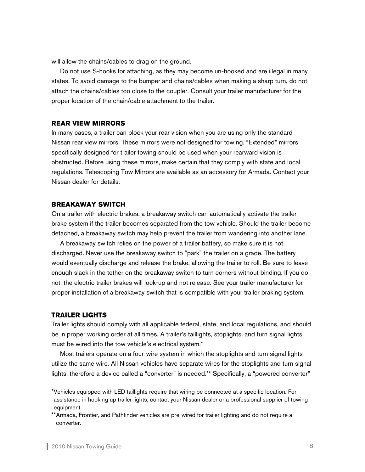will allow the chains/cables to drag on the ground.

Do not use S-hooks for attaching, as they may become un-hooked and are illegal in many states. To avoid damage to the bumper and chains/cables when making a sharp turn, do not attach the chains/cables too close to the coupler. Consult your trailer manufacturer for the proper location of the chain/cable attachment to the trailer.

#### **REAR VIEW MIRRORS**

In many cases, a trailer can block your rear vision when you are using only the standard Nissan rear view mirrors. These mirrors were not designed for towing. "Extended" mirrors specifically designed for trailer towing should be used when your rearward vision is obstructed. Before using these mirrors, make certain that they comply with state and local regulations. Telescoping Tow Mirrors are available as an accessory for Armada. Contact your Nissan dealer for details.

#### **BREAKAWAY SWITCH**

On a trailer with electric brakes, a breakaway switch can automatically activate the trailer brake system if the trailer becomes separated from the tow vehicle. Should the trailer become detached, a breakaway switch may help prevent the trailer from wandering into another lane.

 A breakaway switch relies on the power of a trailer battery, so make sure it is not discharged. Never use the breakaway switch to "park" the trailer on a grade. The battery would eventually discharge and release the brake, allowing the trailer to roll. Be sure to leave enough slack in the tether on the breakaway switch to turn corners without binding. If you do not, the electric trailer brakes will lock-up and not release. See your trailer manufacturer for proper installation of a breakaway switch that is compatible with your trailer braking system.

#### **TRAILER LIGHTS**

Trailer lights should comply with all applicable federal, state, and local regulations, and should be in proper working order at all times. A trailer's taillights, stoplights, and turn signal lights must be wired into the tow vehicle's electrical system.\*

Most trailers operate on a four-wire system in which the stoplights and turn signal lights utilize the same wire. All Nissan vehicles have separate wires for the stoplights and turn signal lights, therefore a device called a "converter" is needed.\*\* Specifically, a "powered converter"

<sup>\*</sup>Vehicles equipped with LED taillights require that wiring be connected at a specific location. For assistance in hooking up trailer lights, contact your Nissan dealer or a professional supplier of towing equipment.

<sup>\*\*</sup>Armada, Frontier, and Pathfinder vehicles are pre-wired for trailer lighting and do not require a converter.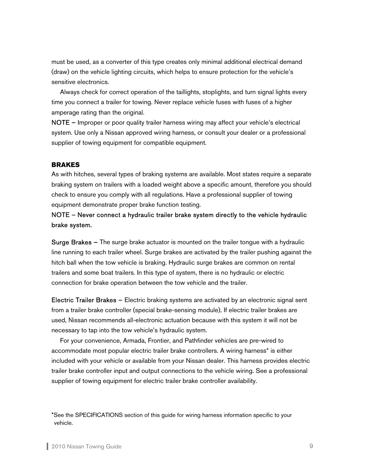must be used, as a converter of this type creates only minimal additional electrical demand (draw) on the vehicle lighting circuits, which helps to ensure protection for the vehicle's sensitive electronics.

Always check for correct operation of the taillights, stoplights, and turn signal lights every time you connect a trailer for towing. Never replace vehicle fuses with fuses of a higher amperage rating than the original.

NOTE – Improper or poor quality trailer harness wiring may affect your vehicle's electrical system. Use only a Nissan approved wiring harness, or consult your dealer or a professional supplier of towing equipment for compatible equipment.

#### **BRAKES**

As with hitches, several types of braking systems are available. Most states require a separate braking system on trailers with a loaded weight above a specific amount, therefore you should check to ensure you comply with all regulations. Have a professional supplier of towing equipment demonstrate proper brake function testing.

### NOTE – Never connect a hydraulic trailer brake system directly to the vehicle hydraulic brake system.

Surge Brakes – The surge brake actuator is mounted on the trailer tongue with a hydraulic line running to each trailer wheel. Surge brakes are activated by the trailer pushing against the hitch ball when the tow vehicle is braking. Hydraulic surge brakes are common on rental trailers and some boat trailers. In this type of system, there is no hydraulic or electric connection for brake operation between the tow vehicle and the trailer.

Electric Trailer Brakes – Electric braking systems are activated by an electronic signal sent from a trailer brake controller (special brake-sensing module). If electric trailer brakes are used, Nissan recommends all-electronic actuation because with this system it will not be necessary to tap into the tow vehicle's hydraulic system.

For your convenience, Armada, Frontier, and Pathfinder vehicles are pre-wired to accommodate most popular electric trailer brake controllers. A wiring harness\* is either included with your vehicle or available from your Nissan dealer. This harness provides electric trailer brake controller input and output connections to the vehicle wiring. See a professional supplier of towing equipment for electric trailer brake controller availability.

<sup>\*</sup>See the SPECIFICATIONS section of this guide for wiring harness information specific to your vehicle.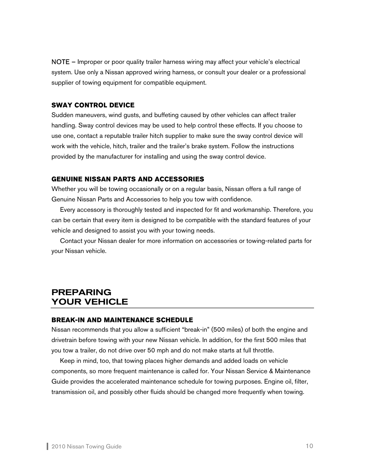NOTE – Improper or poor quality trailer harness wiring may affect your vehicle's electrical system. Use only a Nissan approved wiring harness, or consult your dealer or a professional supplier of towing equipment for compatible equipment.

#### **SWAY CONTROL DEVICE**

Sudden maneuvers, wind gusts, and buffeting caused by other vehicles can affect trailer handling. Sway control devices may be used to help control these effects. If you choose to use one, contact a reputable trailer hitch supplier to make sure the sway control device will work with the vehicle, hitch, trailer and the trailer's brake system. Follow the instructions provided by the manufacturer for installing and using the sway control device.

#### **GENUINE NISSAN PARTS AND ACCESSORIES**

Whether you will be towing occasionally or on a regular basis, Nissan offers a full range of Genuine Nissan Parts and Accessories to help you tow with confidence.

 Every accessory is thoroughly tested and inspected for fit and workmanship. Therefore, you can be certain that every item is designed to be compatible with the standard features of your vehicle and designed to assist you with your towing needs.

 Contact your Nissan dealer for more information on accessories or towing-related parts for your Nissan vehicle.

## PREPARING YOUR VEHICLE

#### **BREAK-IN AND MAINTENANCE SCHEDULE**

Nissan recommends that you allow a sufficient "break-in" (500 miles) of both the engine and drivetrain before towing with your new Nissan vehicle. In addition, for the first 500 miles that you tow a trailer, do not drive over 50 mph and do not make starts at full throttle.

 Keep in mind, too, that towing places higher demands and added loads on vehicle components, so more frequent maintenance is called for. Your Nissan Service & Maintenance Guide provides the accelerated maintenance schedule for towing purposes. Engine oil, filter, transmission oil, and possibly other fluids should be changed more frequently when towing.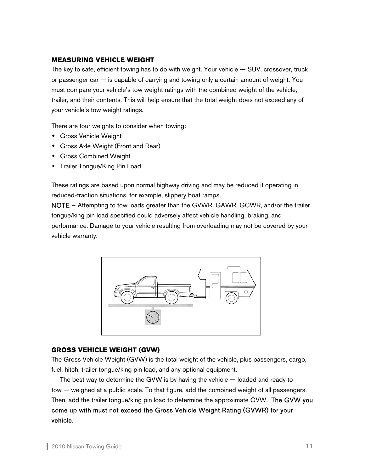#### **MEASURING VEHICLE WEIGHT**

The key to safe, efficient towing has to do with weight. Your vehicle  $-$  SUV, crossover, truck or passenger car  $-$  is capable of carrying and towing only a certain amount of weight. You must compare your vehicle's tow weight ratings with the combined weight of the vehicle, trailer, and their contents. This will help ensure that the total weight does not exceed any of your vehicle's tow weight ratings.

There are four weights to consider when towing:

- Gross Vehicle Weight
- Gross Axle Weight (Front and Rear)
- Gross Combined Weight
- Trailer Tongue/King Pin Load

These ratings are based upon normal highway driving and may be reduced if operating in reduced-traction situations, for example, slippery boat ramps.

NOTE – Attempting to tow loads greater than the GVWR, GAWR, GCWR, and/or the trailer tongue/king pin load specified could adversely affect vehicle handling, braking, and performance. Damage to your vehicle resulting from overloading may not be covered by your vehicle warranty.



#### **GROSS VEHICLE WEIGHT (GVW)**

The Gross Vehicle Weight (GVW) is the total weight of the vehicle, plus passengers, cargo, fuel, hitch, trailer tongue/king pin load, and any optional equipment.

 The best way to determine the GVW is by having the vehicle — loaded and ready to tow — weighed at a public scale. To that figure, add the combined weight of all passengers. Then, add the trailer tongue/king pin load to determine the approximate GVW. The GVW you come up with must not exceed the Gross Vehicle Weight Rating (GVWR) for your vehicle.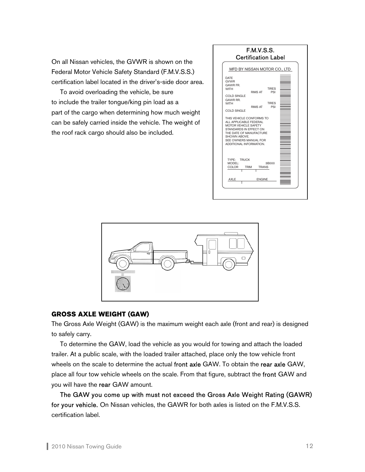On all Nissan vehicles, the GVWR is shown on the Federal Motor Vehicle Safety Standard (F.M.V.S.S.) certification label located in the driver's-side door area.

 To avoid overloading the vehicle, be sure to include the trailer tongue/king pin load as a part of the cargo when determining how much weight can be safely carried inside the vehicle. The weight of the roof rack cargo should also be included.





#### **GROSS AXLE WEIGHT (GAW)**

The Gross Axle Weight (GAW) is the maximum weight each axle (front and rear) is designed to safely carry.

 To determine the GAW, load the vehicle as you would for towing and attach the loaded trailer. At a public scale, with the loaded trailer attached, place only the tow vehicle front wheels on the scale to determine the actual front axle GAW. To obtain the rear axle GAW, place all four tow vehicle wheels on the scale. From that figure, subtract the front GAW and you will have the rear GAW amount.

The GAW you come up with must not exceed the Gross Axle Weight Rating (GAWR) for your vehicle. On Nissan vehicles, the GAWR for both axles is listed on the F.M.V.S.S. certification label.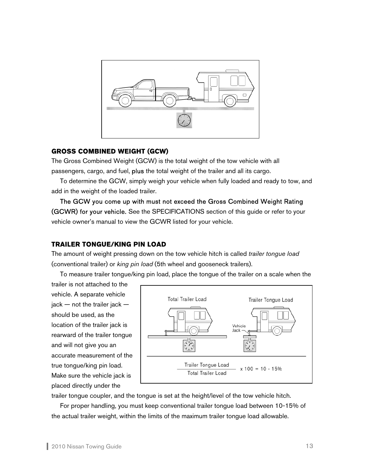

#### **GROSS COMBINED WEIGHT (GCW)**

The Gross Combined Weight (GCW) is the total weight of the tow vehicle with all passengers, cargo, and fuel, plus the total weight of the trailer and all its cargo.

 To determine the GCW, simply weigh your vehicle when fully loaded and ready to tow, and add in the weight of the loaded trailer.

The GCW you come up with must not exceed the Gross Combined Weight Rating (GCWR) for your vehicle. See the SPECIFICATIONS section of this guide or refer to your vehicle owner's manual to view the GCWR listed for your vehicle.

#### **TRAILER TONGUE/KING PIN LOAD**

The amount of weight pressing down on the tow vehicle hitch is called *trailer tongue load* (conventional trailer) or *king pin load* (5th wheel and gooseneck trailers).

To measure trailer tongue/king pin load, place the tongue of the trailer on a scale when the

trailer is not attached to the vehicle. A separate vehicle jack — not the trailer jack should be used, as the location of the trailer jack is rearward of the trailer tongue and will not give you an accurate measurement of the true tongue/king pin load. Make sure the vehicle jack is placed directly under the



trailer tongue coupler, and the tongue is set at the height/level of the tow vehicle hitch.

 For proper handling, you must keep conventional trailer tongue load between 10-15% of the actual trailer weight, within the limits of the maximum trailer tongue load allowable.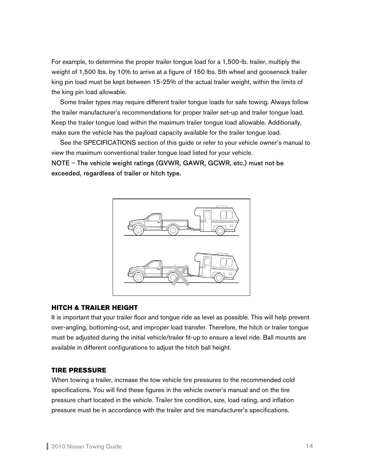For example, to determine the proper trailer tongue load for a 1,500-lb. trailer, multiply the weight of 1,500 lbs. by 10% to arrive at a figure of 150 lbs. 5th wheel and gooseneck trailer king pin load must be kept between 15-25% of the actual trailer weight, within the limits of the king pin load allowable.

 Some trailer types may require different trailer tongue loads for safe towing. Always follow the trailer manufacturer's recommendations for proper trailer set-up and trailer tongue load. Keep the trailer tongue load within the maximum trailer tongue load allowable. Additionally, make sure the vehicle has the payload capacity available for the trailer tongue load.

 See the SPECIFICATIONS section of this guide or refer to your vehicle owner's manual to view the maximum conventional trailer tongue load listed for your vehicle.

NOTE – The vehicle weight ratings (GVWR, GAWR, GCWR, etc.) must not be exceeded, regardless of trailer or hitch type.



#### **HITCH & TRAILER HEIGHT**

It is important that your trailer floor and tongue ride as level as possible. This will help prevent over-angling, bottoming-out, and improper load transfer. Therefore, the hitch or trailer tongue must be adjusted during the initial vehicle/trailer fit-up to ensure a level ride. Ball mounts are available in different configurations to adjust the hitch ball height.

#### **TIRE PRESSURE**

When towing a trailer, increase the tow vehicle tire pressures to the recommended cold specifications. You will find these figures in the vehicle owner's manual and on the tire pressure chart located in the vehicle. Trailer tire condition, size, load rating, and inflation pressure must be in accordance with the trailer and tire manufacturer's specifications.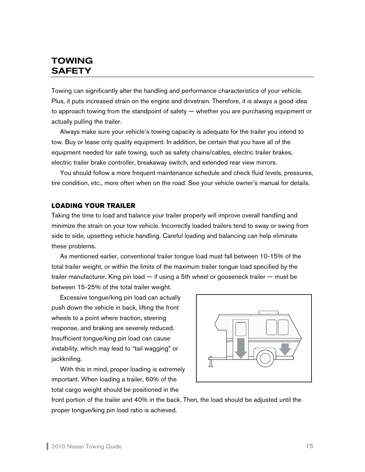## TOWING **SAFETY**

Towing can significantly alter the handling and performance characteristics of your vehicle. Plus, it puts increased strain on the engine and drivetrain. Therefore, it is always a good idea to approach towing from the standpoint of safety — whether you are purchasing equipment or actually pulling the trailer.

Always make sure your vehicle's towing capacity is adequate for the trailer you intend to tow. Buy or lease only quality equipment. In addition, be certain that you have all of the equipment needed for safe towing, such as safety chains/cables, electric trailer brakes, electric trailer brake controller, breakaway switch, and extended rear view mirrors.

 You should follow a more frequent maintenance schedule and check fluid levels, pressures, tire condition, etc., more often when on the road. See your vehicle owner's manual for details.

#### **LOADING YOUR TRAILER**

Taking the time to load and balance your trailer properly will improve overall handling and minimize the strain on your tow vehicle. Incorrectly loaded trailers tend to sway or swing from side to side, upsetting vehicle handling. Careful loading and balancing can help eliminate these problems.

 As mentioned earlier, conventional trailer tongue load must fall between 10-15% of the total trailer weight, or within the limits of the maximum trailer tongue load specified by the trailer manufacturer. King pin load — if using a 5th wheel or gooseneck trailer — must be between 15-25% of the total trailer weight.

Excessive tongue/king pin load can actually push down the vehicle in back, lifting the front wheels to a point where traction, steering response, and braking are severely reduced. Insufficient tongue/king pin load can cause instability, which may lead to "tail wagging" or jackknifing.

With this in mind, proper loading is extremely important. When loading a trailer, 60% of the total cargo weight should be positioned in the



front portion of the trailer and 40% in the back. Then, the load should be adjusted until the proper tongue/king pin load ratio is achieved.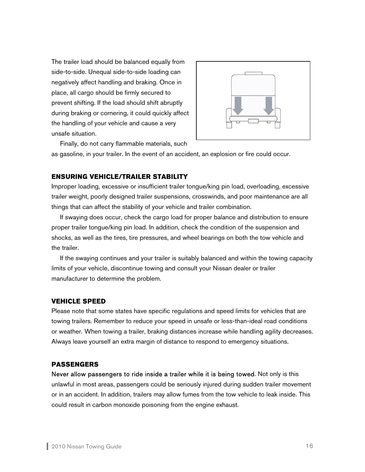The trailer load should be balanced equally from side-to-side. Unequal side-to-side loading can negatively affect handling and braking. Once in place, all cargo should be firmly secured to prevent shifting. If the load should shift abruptly during braking or cornering, it could quickly affect the handling of your vehicle and cause a very unsafe situation.



Finally, do not carry flammable materials, such

as gasoline, in your trailer. In the event of an accident, an explosion or fire could occur.

#### **ENSURING VEHICLE/TRAILER STABILITY**

Improper loading, excessive or insufficient trailer tongue/king pin load, overloading, excessive trailer weight, poorly designed trailer suspensions, crosswinds, and poor maintenance are all things that can affect the stability of your vehicle and trailer combination.

If swaying does occur, check the cargo load for proper balance and distribution to ensure proper trailer tongue/king pin load. In addition, check the condition of the suspension and shocks, as well as the tires, tire pressures, and wheel bearings on both the tow vehicle and the trailer.

 If the swaying continues and your trailer is suitably balanced and within the towing capacity limits of your vehicle, discontinue towing and consult your Nissan dealer or trailer manufacturer to determine the problem.

### **VEHICLE SPEED**

Please note that some states have specific regulations and speed limits for vehicles that are towing trailers. Remember to reduce your speed in unsafe or less-than-ideal road conditions or weather. When towing a trailer, braking distances increase while handling agility decreases. Always leave yourself an extra margin of distance to respond to emergency situations.

### **PASSENGERS**

Never allow passengers to ride inside a trailer while it is being towed. Not only is this unlawful in most areas, passengers could be seriously injured during sudden trailer movement or in an accident. In addition, trailers may allow fumes from the tow vehicle to leak inside. This could result in carbon monoxide poisoning from the engine exhaust.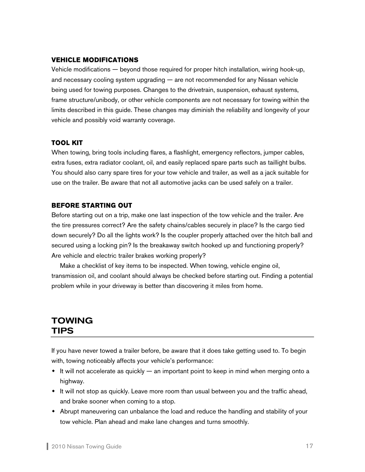#### **VEHICLE MODIFICATIONS**

Vehicle modifications — beyond those required for proper hitch installation, wiring hook-up, and necessary cooling system upgrading — are not recommended for any Nissan vehicle being used for towing purposes. Changes to the drivetrain, suspension, exhaust systems, frame structure/unibody, or other vehicle components are not necessary for towing within the limits described in this guide. These changes may diminish the reliability and longevity of your vehicle and possibly void warranty coverage.

#### **TOOL KIT**

When towing, bring tools including flares, a flashlight, emergency reflectors, jumper cables, extra fuses, extra radiator coolant, oil, and easily replaced spare parts such as taillight bulbs. You should also carry spare tires for your tow vehicle and trailer, as well as a jack suitable for use on the trailer. Be aware that not all automotive jacks can be used safely on a trailer.

#### **BEFORE STARTING OUT**

Before starting out on a trip, make one last inspection of the tow vehicle and the trailer. Are the tire pressures correct? Are the safety chains/cables securely in place? Is the cargo tied down securely? Do all the lights work? Is the coupler properly attached over the hitch ball and secured using a locking pin? Is the breakaway switch hooked up and functioning properly? Are vehicle and electric trailer brakes working properly?

 Make a checklist of key items to be inspected. When towing, vehicle engine oil, transmission oil, and coolant should always be checked before starting out. Finding a potential problem while in your driveway is better than discovering it miles from home.

## TOWING TIPS

If you have never towed a trailer before, be aware that it does take getting used to. To begin with, towing noticeably affects your vehicle's performance:

- $\bullet$  It will not accelerate as quickly  $-$  an important point to keep in mind when merging onto a highway.
- $\bullet$  It will not stop as quickly. Leave more room than usual between you and the traffic ahead, and brake sooner when coming to a stop.
- Abrupt maneuvering can unbalance the load and reduce the handling and stability of your tow vehicle. Plan ahead and make lane changes and turns smoothly.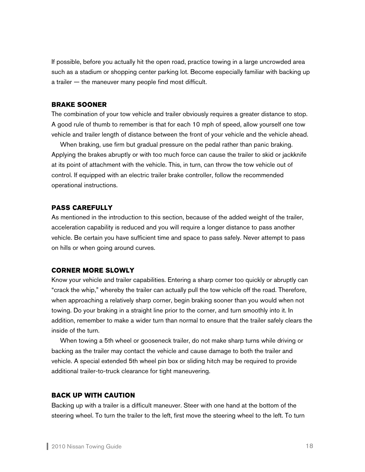If possible, before you actually hit the open road, practice towing in a large uncrowded area such as a stadium or shopping center parking lot. Become especially familiar with backing up a trailer — the maneuver many people find most difficult.

#### **BRAKE SOONER**

The combination of your tow vehicle and trailer obviously requires a greater distance to stop. A good rule of thumb to remember is that for each 10 mph of speed, allow yourself one tow vehicle and trailer length of distance between the front of your vehicle and the vehicle ahead.

 When braking, use firm but gradual pressure on the pedal rather than panic braking. Applying the brakes abruptly or with too much force can cause the trailer to skid or jackknife at its point of attachment with the vehicle. This, in turn, can throw the tow vehicle out of control. If equipped with an electric trailer brake controller, follow the recommended operational instructions.

#### **PASS CAREFULLY**

As mentioned in the introduction to this section, because of the added weight of the trailer, acceleration capability is reduced and you will require a longer distance to pass another vehicle. Be certain you have sufficient time and space to pass safely. Never attempt to pass on hills or when going around curves.

#### **CORNER MORE SLOWLY**

Know your vehicle and trailer capabilities. Entering a sharp corner too quickly or abruptly can "crack the whip," whereby the trailer can actually pull the tow vehicle off the road. Therefore, when approaching a relatively sharp corner, begin braking sooner than you would when not towing. Do your braking in a straight line prior to the corner, and turn smoothly into it. In addition, remember to make a wider turn than normal to ensure that the trailer safely clears the inside of the turn.

When towing a 5th wheel or gooseneck trailer, do not make sharp turns while driving or backing as the trailer may contact the vehicle and cause damage to both the trailer and vehicle. A special extended 5th wheel pin box or sliding hitch may be required to provide additional trailer-to-truck clearance for tight maneuvering.

#### **BACK UP WITH CAUTION**

Backing up with a trailer is a difficult maneuver. Steer with one hand at the bottom of the steering wheel. To turn the trailer to the left, first move the steering wheel to the left. To turn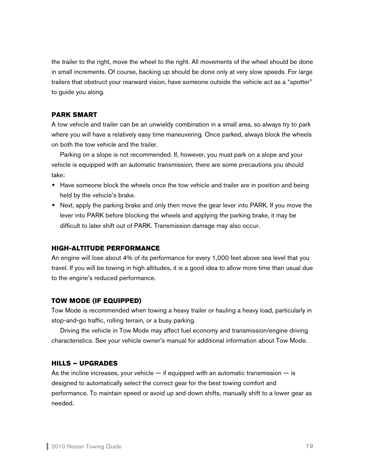the trailer to the right, move the wheel to the right. All movements of the wheel should be done in small increments. Of course, backing up should be done only at very slow speeds. For large trailers that obstruct your rearward vision, have someone outside the vehicle act as a "spotter" to guide you along.

#### **PARK SMART**

A tow vehicle and trailer can be an unwieldy combination in a small area, so always try to park where you will have a relatively easy time maneuvering. Once parked, always block the wheels on both the tow vehicle and the trailer.

 Parking on a slope is not recommended. If, however, you must park on a slope and your vehicle is equipped with an automatic transmission, there are some precautions you should take:

- Have someone block the wheels once the tow vehicle and trailer are in position and being held by the vehicle's brake.
- Next, apply the parking brake and only then move the gear lever into PARK. If you move the lever into PARK before blocking the wheels and applying the parking brake, it may be difficult to later shift out of PARK. Transmission damage may also occur.

#### **HIGH-ALTITUDE PERFORMANCE**

An engine will lose about 4% of its performance for every 1,000 feet above sea level that you travel. If you will be towing in high altitudes, it is a good idea to allow more time than usual due to the engine's reduced performance.

#### **TOW MODE (IF EQUIPPED)**

Tow Mode is recommended when towing a heavy trailer or hauling a heavy load, particularly in stop-and-go traffic, rolling terrain, or a busy parking.

 Driving the vehicle in Tow Mode may affect fuel economy and transmission/engine driving characteristics. See your vehicle owner's manual for additional information about Tow Mode.

#### **HILLS – UPGRADES**

As the incline increases, your vehicle  $-$  if equipped with an automatic transmission  $-$  is designed to automatically select the correct gear for the best towing comfort and performance. To maintain speed or avoid up and down shifts, manually shift to a lower gear as needed.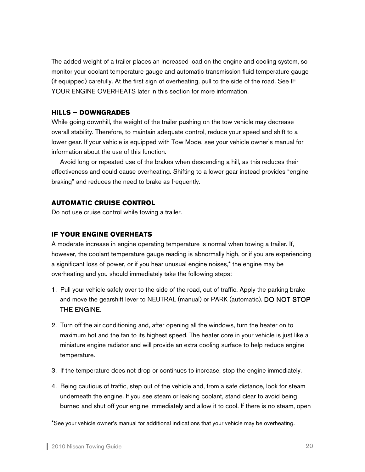The added weight of a trailer places an increased load on the engine and cooling system, so monitor your coolant temperature gauge and automatic transmission fluid temperature gauge (if equipped) carefully. At the first sign of overheating, pull to the side of the road. See IF YOUR ENGINE OVERHEATS later in this section for more information.

#### **HILLS – DOWNGRADES**

While going downhill, the weight of the trailer pushing on the tow vehicle may decrease overall stability. Therefore, to maintain adequate control, reduce your speed and shift to a lower gear. If your vehicle is equipped with Tow Mode, see your vehicle owner's manual for information about the use of this function.

Avoid long or repeated use of the brakes when descending a hill, as this reduces their effectiveness and could cause overheating. Shifting to a lower gear instead provides "engine braking" and reduces the need to brake as frequently.

#### **AUTOMATIC CRUISE CONTROL**

Do not use cruise control while towing a trailer.

#### **IF YOUR ENGINE OVERHEATS**

A moderate increase in engine operating temperature is normal when towing a trailer. If, however, the coolant temperature gauge reading is abnormally high, or if you are experiencing a significant loss of power, or if you hear unusual engine noises,\* the engine may be overheating and you should immediately take the following steps:

- 1. Pull your vehicle safely over to the side of the road, out of traffic. Apply the parking brake and move the gearshift lever to NEUTRAL (manual) or PARK (automatic). DO NOT STOP THE ENGINE.
- 2. Turn off the air conditioning and, after opening all the windows, turn the heater on to maximum hot and the fan to its highest speed. The heater core in your vehicle is just like a miniature engine radiator and will provide an extra cooling surface to help reduce engine temperature.
- 3. If the temperature does not drop or continues to increase, stop the engine immediately.
- 4. Being cautious of traffic, step out of the vehicle and, from a safe distance, look for steam underneath the engine. If you see steam or leaking coolant, stand clear to avoid being burned and shut off your engine immediately and allow it to cool. If there is no steam, open

\*See your vehicle owner's manual for additional indications that your vehicle may be overheating.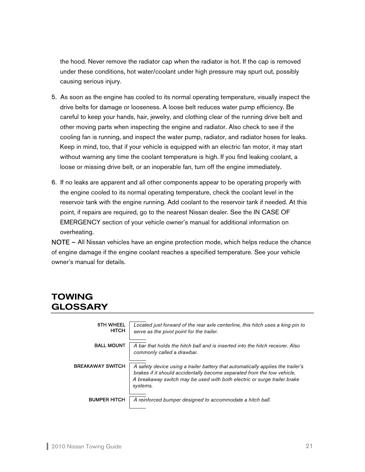the hood. Never remove the radiator cap when the radiator is hot. If the cap is removed under these conditions, hot water/coolant under high pressure may spurt out, possibly causing serious injury.

- 5. As soon as the engine has cooled to its normal operating temperature, visually inspect the drive belts for damage or looseness. A loose belt reduces water pump efficiency. Be careful to keep your hands, hair, jewelry, and clothing clear of the running drive belt and other moving parts when inspecting the engine and radiator. Also check to see if the cooling fan is running, and inspect the water pump, radiator, and radiator hoses for leaks. Keep in mind, too, that if your vehicle is equipped with an electric fan motor, it may start without warning any time the coolant temperature is high. If you find leaking coolant, a loose or missing drive belt, or an inoperable fan, turn off the engine immediately.
- 6. If no leaks are apparent and all other components appear to be operating properly with the engine cooled to its normal operating temperature, check the coolant level in the reservoir tank with the engine running. Add coolant to the reservoir tank if needed. At this point, if repairs are required, go to the nearest Nissan dealer. See the IN CASE OF EMERGENCY section of your vehicle owner's manual for additional information on overheating.

NOTE – All Nissan vehicles have an engine protection mode, which helps reduce the chance of engine damage if the engine coolant reaches a specified temperature. See your vehicle owner's manual for details.

## TOWING GLOSSARY

| <b>5TH WHEEL</b><br><b>HITCH</b> | Located just forward of the rear axle centerline, this hitch uses a king pin to<br>serve as the pivot point for the trailer.                                                                                                                        |
|----------------------------------|-----------------------------------------------------------------------------------------------------------------------------------------------------------------------------------------------------------------------------------------------------|
| <b>BALL MOUNT</b>                | A bar that holds the hitch ball and is inserted into the hitch receiver. Also<br>commonly called a drawbar.                                                                                                                                         |
| BREAKAWAY SWITCH                 | A safety device using a trailer battery that automatically applies the trailer's<br>brakes if it should accidentally become separated from the tow vehicle.<br>A breakaway switch may be used with both electric or surge trailer brake<br>systems. |
| <b>BUMPER HITCH</b>              | A reinforced bumper designed to accommodate a hitch ball.                                                                                                                                                                                           |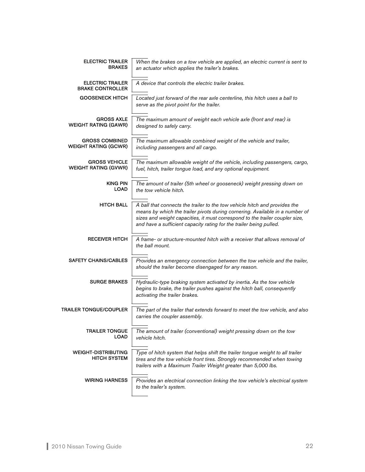| <b>ELECTRIC TRAILER</b><br><b>BRAKES</b>             | When the brakes on a tow vehicle are applied, an electric current is sent to<br>an actuator which applies the trailer's brakes.                                                                                                                                                                                   |
|------------------------------------------------------|-------------------------------------------------------------------------------------------------------------------------------------------------------------------------------------------------------------------------------------------------------------------------------------------------------------------|
| <b>ELECTRIC TRAILER</b><br><b>BRAKE CONTROLLER</b>   | A device that controls the electric trailer brakes.                                                                                                                                                                                                                                                               |
| <b>GOOSENECK HITCH</b>                               | Located just forward of the rear axle centerline, this hitch uses a ball to<br>serve as the pivot point for the trailer.                                                                                                                                                                                          |
| <b>GROSS AXLE</b><br><b>WEIGHT RATING (GAWR)</b>     | The maximum amount of weight each vehicle axle (front and rear) is<br>designed to safely carry.                                                                                                                                                                                                                   |
| <b>GROSS COMBINED</b><br><b>WEIGHT RATING (GCWR)</b> | The maximum allowable combined weight of the vehicle and trailer,<br>including passengers and all cargo.                                                                                                                                                                                                          |
| <b>GROSS VEHICLE</b><br><b>WEIGHT RATING (GVWR)</b>  | The maximum allowable weight of the vehicle, including passengers, cargo,<br>fuel, hitch, trailer tongue load, and any optional equipment.                                                                                                                                                                        |
| <b>KING PIN</b><br><b>LOAD</b>                       | The amount of trailer (5th wheel or gooseneck) weight pressing down on<br>the tow vehicle hitch.                                                                                                                                                                                                                  |
| <b>HITCH BALL</b>                                    | A ball that connects the trailer to the tow vehicle hitch and provides the<br>means by which the trailer pivots during cornering. Available in a number of<br>sizes and weight capacities, it must correspond to the trailer coupler size,<br>and have a sufficient capacity rating for the trailer being pulled. |
| <b>RECEIVER HITCH</b>                                | A frame- or structure-mounted hitch with a receiver that allows removal of<br>the ball mount.                                                                                                                                                                                                                     |
| <b>SAFETY CHAINS/CABLES</b>                          | Provides an emergency connection between the tow vehicle and the trailer,<br>should the trailer become disengaged for any reason.                                                                                                                                                                                 |
| <b>SURGE BRAKES</b>                                  | Hydraulic-type braking system activated by inertia. As the tow vehicle<br>begins to brake, the trailer pushes against the hitch ball, consequently<br>activating the trailer brakes.                                                                                                                              |
| TRAILER TONGUE/COUPLER                               | The part of the trailer that extends forward to meet the tow vehicle, and also<br>carries the coupler assembly.                                                                                                                                                                                                   |
| <b>TRAILER TONGUE</b><br><b>LOAD</b>                 | The amount of trailer (conventional) weight pressing down on the tow<br>vehicle hitch.                                                                                                                                                                                                                            |
| <b>WEIGHT-DISTRIBUTING</b><br><b>HITCH SYSTEM</b>    | Type of hitch system that helps shift the trailer tongue weight to all trailer<br>tires and the tow vehicle front tires. Strongly recommended when towing<br>trailers with a Maximum Trailer Weight greater than 5,000 lbs.                                                                                       |
| <b>WIRING HARNESS</b>                                | Provides an electrical connection linking the tow vehicle's electrical system<br>to the trailer's system.                                                                                                                                                                                                         |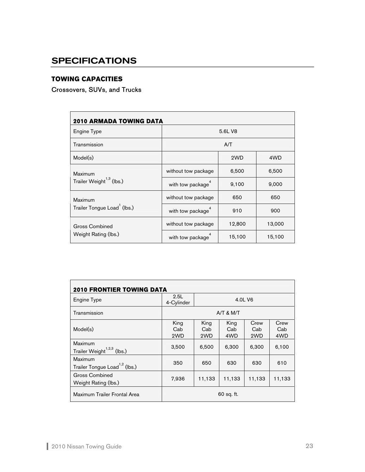## **SPECIFICATIONS**

## **TOWING CAPACITIES**

## Crossovers, SUVs, and Trucks

| <b>2010 ARMADA TOWING DATA</b>                  |                     |        |        |  |  |
|-------------------------------------------------|---------------------|--------|--------|--|--|
| Engine Type                                     | 5.6L V8             |        |        |  |  |
| Transmission                                    | A/T                 |        |        |  |  |
| Model(s)                                        |                     | 2WD    | 4WD    |  |  |
| Maximum<br>Trailer Weight <sup>1,3</sup> (lbs.) | without tow package | 6,500  | 6,500  |  |  |
|                                                 | with tow package    | 9,100  | 9,000  |  |  |
| <b>Maximum</b>                                  | without tow package | 650    | 650    |  |  |
| Trailer Tongue Load <sup>1</sup> (lbs.)         | with tow package    | 910    | 900    |  |  |
| <b>Gross Combined</b><br>Weight Rating (lbs.)   | without tow package | 12,800 | 13,000 |  |  |
|                                                 | with tow package    | 15,100 | 15,100 |  |  |

| Engine Type                                          | 2.5L<br>4-Cylinder | 4.0L V6            |                    |                    |                    |
|------------------------------------------------------|--------------------|--------------------|--------------------|--------------------|--------------------|
| Transmission                                         |                    | $A/T$ & M/T        |                    |                    |                    |
| Model(s)                                             | King<br>Cab<br>2WD | King<br>Cab<br>2WD | King<br>Cab<br>4WD | Crew<br>Cab<br>2WD | Crew<br>Cab<br>4WD |
| Maximum<br>Trailer Weight <sup>1,2,3</sup> (lbs.)    | 3,500              | 6,500              | 6,300              | 6,300              | 6,100              |
| Maximum<br>Trailer Tongue Load <sup>1,2</sup> (lbs.) | 350                | 650                | 630                | 630                | 610                |
| Gross Combined<br>Weight Rating (lbs.)               | 7,936              | 11,133             | 11,133             | 11,133             | 11,133             |
| Maximum Trailer Frontal Area                         | 60 sq. ft.         |                    |                    |                    |                    |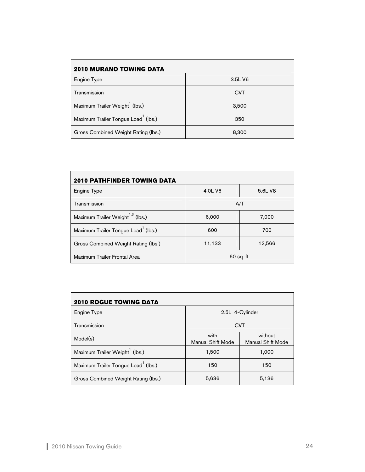| 2010 MURANO TOWING DATA                         |            |  |  |  |  |
|-------------------------------------------------|------------|--|--|--|--|
| Engine Type                                     | 3.5L V6    |  |  |  |  |
| Transmission                                    | <b>CVT</b> |  |  |  |  |
| Maximum Trailer Weight <sup>1</sup> (lbs.)      | 3,500      |  |  |  |  |
| Maximum Trailer Tongue Load <sup>1</sup> (lbs.) | 350        |  |  |  |  |
| Gross Combined Weight Rating (lbs.)             | 8,300      |  |  |  |  |

| <b>2010 PATHFINDER TOWING DATA</b>              |                  |         |  |  |  |
|-------------------------------------------------|------------------|---------|--|--|--|
| Engine Type                                     | 4.0L V6          | 5.6L V8 |  |  |  |
| Transmission                                    |                  | A/T     |  |  |  |
| Maximum Trailer Weight <sup>1,3</sup> (lbs.)    | 6,000            | 7,000   |  |  |  |
| Maximum Trailer Tongue Load <sup>1</sup> (lbs.) | 600              | 700     |  |  |  |
| Gross Combined Weight Rating (lbs.)             | 11,133<br>12,566 |         |  |  |  |
| Maximum Trailer Frontal Area                    | 60 sq. ft.       |         |  |  |  |

| <b>2010 ROGUE TOWING DATA</b>                   |                                  |                                     |  |  |  |
|-------------------------------------------------|----------------------------------|-------------------------------------|--|--|--|
| Engine Type                                     | 2.5L 4-Cylinder                  |                                     |  |  |  |
| Transmission                                    | <b>CVT</b>                       |                                     |  |  |  |
| Model(s)                                        | with<br><b>Manual Shift Mode</b> | without<br><b>Manual Shift Mode</b> |  |  |  |
| Maximum Trailer Weight <sup>1</sup> (lbs.)      | 1,500                            | 1,000                               |  |  |  |
| Maximum Trailer Tongue Load <sup>1</sup> (lbs.) | 150                              | 150                                 |  |  |  |
| Gross Combined Weight Rating (lbs.)             | 5,636                            | 5,136                               |  |  |  |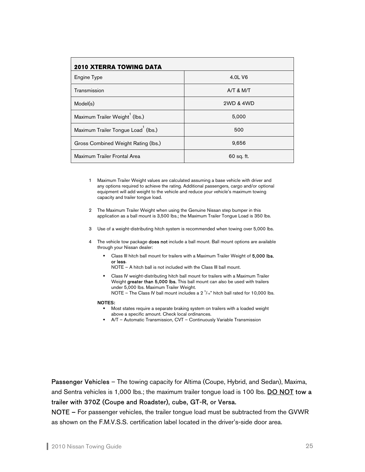| <b>2010 XTERRA TOWING DATA</b>                  |             |  |  |  |  |
|-------------------------------------------------|-------------|--|--|--|--|
| Engine Type                                     | 4.0L V6     |  |  |  |  |
| Transmission                                    | $A/T$ & M/T |  |  |  |  |
| Model(s)                                        | 2WD & 4WD   |  |  |  |  |
| Maximum Trailer Weight <sup>1</sup> (lbs.)      | 5,000       |  |  |  |  |
| Maximum Trailer Tongue Load <sup>1</sup> (lbs.) | 500         |  |  |  |  |
| Gross Combined Weight Rating (lbs.)             | 9,656       |  |  |  |  |
| Maximum Trailer Frontal Area                    | 60 sq. ft.  |  |  |  |  |

- 1 Maximum Trailer Weight values are calculated assuming a base vehicle with driver and any options required to achieve the rating. Additional passengers, cargo and/or optional equipment will add weight to the vehicle and reduce your vehicle's maximum towing capacity and trailer tongue load.
- 2 The Maximum Trailer Weight when using the Genuine Nissan step bumper in this application as a ball mount is 3,500 lbs.; the Maximum Trailer Tongue Load is 350 lbs.
- 3 Use of a weight-distributing hitch system is recommended when towing over 5,000 lbs.
- 4 The vehicle tow package **does not** include a ball mount. Ball mount options are available through your Nissan dealer:
	- Class III hitch ball mount for trailers with a Maximum Trailer Weight of 5,000 lbs. or less.

NOTE – A hitch ball is not included with the Class III ball mount.

 Class IV weight-distributing hitch ball mount for trailers with a Maximum Trailer Weight greater than 5,000 lbs. This ball mount can also be used with trailers under 5,000 lbs. Maximum Trailer Weight. NOTE – The Class IV ball mount includes a  $2^{5}/16$ " hitch ball rated for 10,000 lbs.

#### **NOTES:**

- Most states require a separate braking system on trailers with a loaded weight above a specific amount. Check local ordinances.
- A/T Automatic Transmission, CVT Continuously Variable Transmission

Passenger Vehicles – The towing capacity for Altima (Coupe, Hybrid, and Sedan), Maxima, and Sentra vehicles is 1,000 lbs.; the maximum trailer tongue load is 100 lbs. DO NOT tow a trailer with 370Z (Coupe and Roadster), cube, GT-R, or Versa.

NOTE – For passenger vehicles, the trailer tongue load must be subtracted from the GVWR as shown on the F.M.V.S.S. certification label located in the driver's-side door area.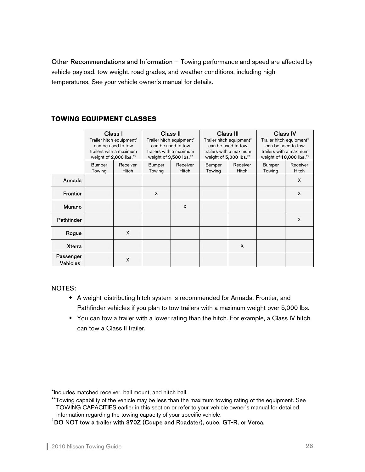Other Recommendations and Information – Towing performance and speed are affected by vehicle payload, tow weight, road grades, and weather conditions, including high temperatures. See your vehicle owner's manual for details.

## **TOWING EQUIPMENT CLASSES**

|                                     | Class I                 | Trailer hitch equipment*<br>can be used to tow<br>trailers with a maximum<br>weight of 2,000 lbs.** |                         | Class II<br>Trailer hitch equipment*<br>can be used to tow<br>trailers with a maximum<br>weight of 3,500 lbs.** | weight of 5,000 lbs.**  | Class III<br>Trailer hitch equipment*<br>can be used to tow<br>trailers with a maximum | <b>Class IV</b><br>weight of 10,000 lbs.** | Trailer hitch equipment*<br>can be used to tow<br>trailers with a maximum |
|-------------------------------------|-------------------------|-----------------------------------------------------------------------------------------------------|-------------------------|-----------------------------------------------------------------------------------------------------------------|-------------------------|----------------------------------------------------------------------------------------|--------------------------------------------|---------------------------------------------------------------------------|
|                                     | <b>Bumper</b><br>Towing | Receiver<br><b>Hitch</b>                                                                            | <b>Bumper</b><br>Towing | Receiver<br><b>Hitch</b>                                                                                        | <b>Bumper</b><br>Towing | Receiver<br><b>Hitch</b>                                                               | <b>Bumper</b><br>Towing                    | Receiver<br><b>Hitch</b>                                                  |
| Armada                              |                         |                                                                                                     |                         |                                                                                                                 |                         |                                                                                        |                                            | X                                                                         |
| <b>Frontier</b>                     |                         |                                                                                                     | X                       |                                                                                                                 |                         |                                                                                        |                                            | X                                                                         |
| Murano                              |                         |                                                                                                     |                         | X                                                                                                               |                         |                                                                                        |                                            |                                                                           |
| <b>Pathfinder</b>                   |                         |                                                                                                     |                         |                                                                                                                 |                         |                                                                                        |                                            | X                                                                         |
| Rogue                               |                         | X                                                                                                   |                         |                                                                                                                 |                         |                                                                                        |                                            |                                                                           |
| <b>Xterra</b>                       |                         |                                                                                                     |                         |                                                                                                                 |                         | X                                                                                      |                                            |                                                                           |
| Passenger<br>$V$ ehicles $^\dagger$ |                         | X                                                                                                   |                         |                                                                                                                 |                         |                                                                                        |                                            |                                                                           |

#### NOTES:

- A weight-distributing hitch system is recommended for Armada, Frontier, and Pathfinder vehicles if you plan to tow trailers with a maximum weight over 5,000 lbs.
- You can tow a trailer with a lower rating than the hitch. For example, a Class IV hitch can tow a Class II trailer.

\*Includes matched receiver, ball mount, and hitch ball.

 $\overline{P}$  DO NOT tow a trailer with 370Z (Coupe and Roadster), cube, GT-R, or Versa.

<sup>\*\*</sup>Towing capability of the vehicle may be less than the maximum towing rating of the equipment. See TOWING CAPACITIES earlier in this section or refer to your vehicle owner's manual for detailed information regarding the towing capacity of your specific vehicle. †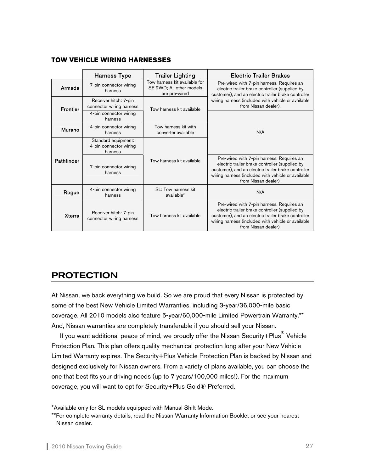#### **TOW VEHICLE WIRING HARNESSES**

|                                                 | <b>Harness Type</b>                                                            | <b>Trailer Lighting</b>                                                    | <b>Electric Trailer Brakes</b>                                                                                                                                                                                                   |  |  |
|-------------------------------------------------|--------------------------------------------------------------------------------|----------------------------------------------------------------------------|----------------------------------------------------------------------------------------------------------------------------------------------------------------------------------------------------------------------------------|--|--|
| Armada                                          | 7-pin connector wiring<br>harness                                              | Tow harness kit available for<br>SE 2WD; All other models<br>are pre-wired | Pre-wired with 7-pin harness. Requires an<br>electric trailer brake controller (supplied by<br>customer), and an electric trailer brake controller                                                                               |  |  |
| <b>Frontier</b>                                 | Receiver hitch: 7-pin<br>connector wiring harness<br>Tow harness kit available |                                                                            | wiring harness (included with vehicle or available<br>from Nissan dealer).                                                                                                                                                       |  |  |
| 4-pin connector wiring<br>harness               |                                                                                |                                                                            |                                                                                                                                                                                                                                  |  |  |
| Murano                                          | 4-pin connector wiring<br>harness                                              | Tow harness kit with<br>converter available                                | N/A                                                                                                                                                                                                                              |  |  |
|                                                 | Standard equipment:<br>4-pin connector wiring<br>harness                       |                                                                            |                                                                                                                                                                                                                                  |  |  |
| Pathfinder<br>7-pin connector wiring<br>harness |                                                                                | Tow harness kit available                                                  | Pre-wired with 7-pin harness. Requires an<br>electric trailer brake controller (supplied by<br>customer), and an electric trailer brake controller<br>wiring harness (included with vehicle or available<br>from Nissan dealer). |  |  |
| Rogue                                           | 4-pin connector wiring<br>harness                                              | SL: Tow harness kit<br>available*                                          | N/A                                                                                                                                                                                                                              |  |  |
| <b>Xterra</b>                                   | Receiver hitch: 7-pin<br>connector wiring harness                              | Tow harness kit available                                                  | Pre-wired with 7-pin harness. Requires an<br>electric trailer brake controller (supplied by<br>customer), and an electric trailer brake controller<br>wiring harness (included with vehicle or available<br>from Nissan dealer). |  |  |

## PROTECTION

At Nissan, we back everything we build. So we are proud that every Nissan is protected by some of the best New Vehicle Limited Warranties, including 3-year/36,000-mile basic coverage. All 2010 models also feature 5-year/60,000-mile Limited Powertrain Warranty.\*\* And, Nissan warranties are completely transferable if you should sell your Nissan.

If you want additional peace of mind, we proudly offer the Nissan Security+Plus $^\circledR$  Vehicle Protection Plan. This plan offers quality mechanical protection long after your New Vehicle Limited Warranty expires. The Security+Plus Vehicle Protection Plan is backed by Nissan and designed exclusively for Nissan owners. From a variety of plans available, you can choose the one that best fits your driving needs (up to 7 years/100,000 miles!). For the maximum coverage, you will want to opt for Security+Plus Gold® Preferred.

<sup>\*</sup>Available only for SL models equipped with Manual Shift Mode.

<sup>\*\*</sup>For complete warranty details, read the Nissan Warranty Information Booklet or see your nearest Nissan dealer.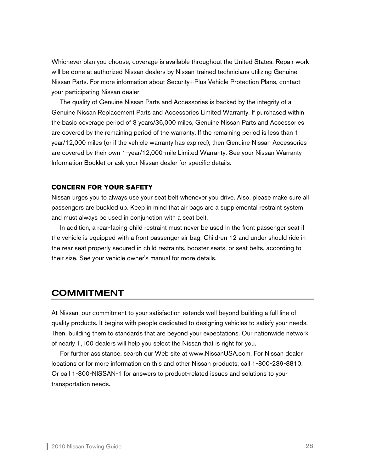Whichever plan you choose, coverage is available throughout the United States. Repair work will be done at authorized Nissan dealers by Nissan-trained technicians utilizing Genuine Nissan Parts. For more information about Security+Plus Vehicle Protection Plans, contact your participating Nissan dealer.

The quality of Genuine Nissan Parts and Accessories is backed by the integrity of a Genuine Nissan Replacement Parts and Accessories Limited Warranty. If purchased within the basic coverage period of 3 years/36,000 miles, Genuine Nissan Parts and Accessories are covered by the remaining period of the warranty. If the remaining period is less than 1 year/12,000 miles (or if the vehicle warranty has expired), then Genuine Nissan Accessories are covered by their own 1-year/12,000-mile Limited Warranty. See your Nissan Warranty Information Booklet or ask your Nissan dealer for specific details.

#### **CONCERN FOR YOUR SAFETY**

Nissan urges you to always use your seat belt whenever you drive. Also, please make sure all passengers are buckled up. Keep in mind that air bags are a supplemental restraint system and must always be used in conjunction with a seat belt.

In addition, a rear-facing child restraint must never be used in the front passenger seat if the vehicle is equipped with a front passenger air bag. Children 12 and under should ride in the rear seat properly secured in child restraints, booster seats, or seat belts, according to their size. See your vehicle owner's manual for more details.

## COMMITMENT

At Nissan, our commitment to your satisfaction extends well beyond building a full line of quality products. It begins with people dedicated to designing vehicles to satisfy your needs. Then, building them to standards that are beyond your expectations. Our nationwide network of nearly 1,100 dealers will help you select the Nissan that is right for you.

For further assistance, search our Web site at www.NissanUSA.com. For Nissan dealer locations or for more information on this and other Nissan products, call 1-800-239-8810. Or call 1-800-NISSAN-1 for answers to product-related issues and solutions to your transportation needs.